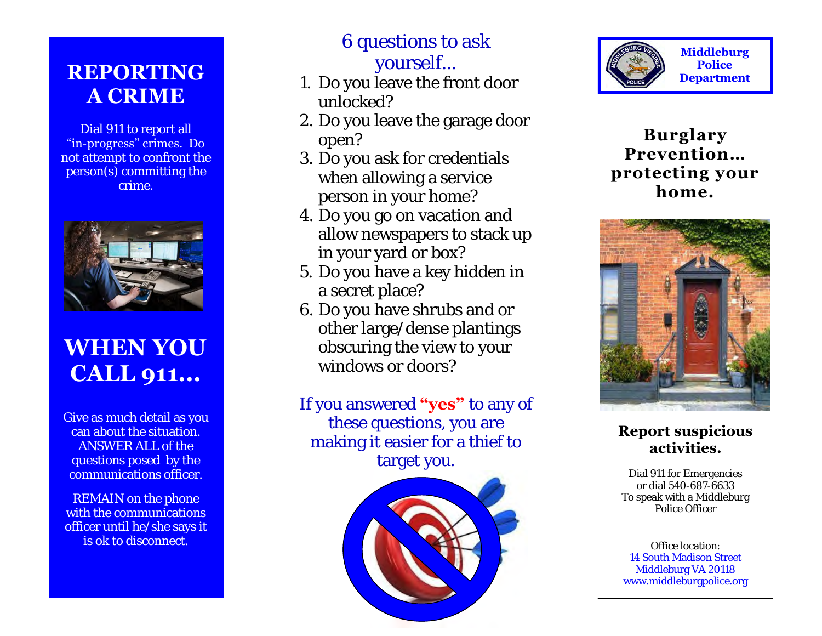## **REPORTING A CRIME**

Dial 911 to report all "in -progress" crimes. Do not attempt to confront the person(s) committing the crime.



# **WHEN YOU CALL 911...**

Give as much detail as you can about the situation. ANSWER ALL of the questions posed by the communications officer.

REMAIN on the phone with the communications officer until he/she says it is ok to disconnect.

## 6 questions to ask yourself...

- 1. Do you leave the front door unlocked?
- 2. Do you leave the garage door open?
- 3. Do you ask for credentials when allowing a service person in your home?
- 4. Do you go on vacation and allow newspapers to stack up in your yard or box?
- 5. Do you have a key hidden in a secret place?
- 6. Do you have shrubs and or other large/dense plantings obscuring the view to your windows or doors?

If you answered **"yes"** to any of these questions, you are making it easier for a thief to target you.





**Middleburg Police Department** 

**Burglary Prevention… protecting your home.** 



#### **Report suspicious activities.**

Dial 911 for Emergencies or dial 540-687-6633 To speak with a Middleburg Police Officer

Office location: 14 South Madison Street Middleburg VA 20118 www.middleburgpolice.org